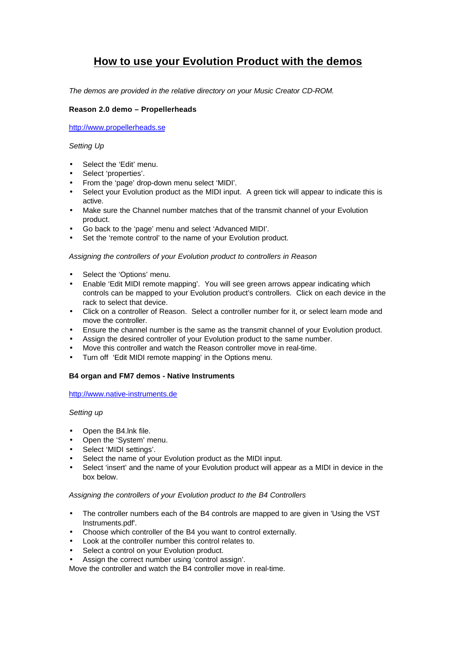# **How to use your Evolution Product with the demos**

*The demos are provided in the relative directory on your Music Creator CD-ROM.*

## **Reason 2.0 demo – Propellerheads**

http://www.propellerheads.se

#### *Setting Up*

- Select the 'Edit' menu.
- Select 'properties'.
- From the 'page' drop-down menu select 'MIDI'.
- Select your Evolution product as the MIDI input. A green tick will appear to indicate this is active.
- Make sure the Channel number matches that of the transmit channel of your Evolution product.
- Go back to the 'page' menu and select 'Advanced MIDI'.
- Set the 'remote control' to the name of your Evolution product.

#### *Assigning the controllers of your Evolution product to controllers in Reason*

- Select the 'Options' menu.
- Enable 'Edit MIDI remote mapping'. You will see green arrows appear indicating which controls can be mapped to your Evolution product's controllers. Click on each device in the rack to select that device.
- Click on a controller of Reason. Select a controller number for it, or select learn mode and move the controller.
- Ensure the channel number is the same as the transmit channel of your Evolution product.
- Assign the desired controller of your Evolution product to the same number.
- Move this controller and watch the Reason controller move in real-time.
- Turn off 'Edit MIDI remote mapping' in the Options menu.

## **B4 organ and FM7 demos - Native Instruments**

http://www.native-instruments.de

#### *Setting up*

- Open the B4.lnk file.
- Open the 'System' menu.
- Select 'MIDI settings'.
- Select the name of your Evolution product as the MIDI input.
- Select 'insert' and the name of your Evolution product will appear as a MIDI in device in the box below.

#### *Assigning the controllers of your Evolution product to the B4 Controllers*

- The controller numbers each of the B4 controls are mapped to are given in 'Using the VST Instruments.pdf'.
- Choose which controller of the B4 you want to control externally.
- Look at the controller number this control relates to.
- Select a control on your Evolution product.
- Assign the correct number using 'control assign'.

Move the controller and watch the B4 controller move in real-time.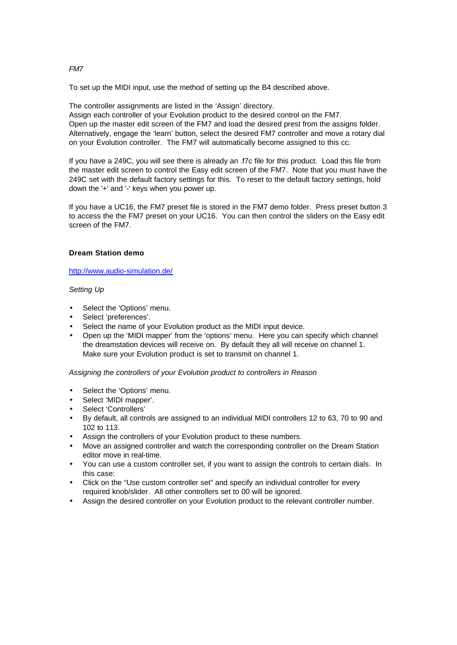# *FM7*

To set up the MIDI input, use the method of setting up the B4 described above.

The controller assignments are listed in the 'Assign' directory.

Assign each controller of your Evolution product to the desired control on the FM7. Open up the master edit screen of the FM7 and load the desired prest from the assigns folder. Alternatively, engage the 'learn' button, select the desired FM7 controller and move a rotary dial on your Evolution controller. The FM7 will automatically become assigned to this cc.

If you have a 249C, you will see there is already an .f7c file for this product. Load this file from the master edit screen to control the Easy edit screen of the FM7. Note that you must have the 249C set with the default factory settings for this. To reset to the default factory settings, hold down the '+' and '-' keys when you power up.

If you have a UC16, the FM7 preset file is stored in the FM7 demo folder. Press preset button 3 to access the the FM7 preset on your UC16. You can then control the sliders on the Easy edit screen of the FM7.

# **Dream Station demo**

http://www.audio-simulation.de/

## *Setting Up*

- Select the 'Options' menu.
- Select 'preferences'.
- Select the name of your Evolution product as the MIDI input device.
- Open up the 'MIDI mapper' from the 'options' menu. Here you can specify which channel the dreamstation devices will receive on. By default they all will receive on channel 1. Make sure your Evolution product is set to transmit on channel 1.

## *Assigning the controllers of your Evolution product to controllers in Reason*

- Select the 'Options' menu.
- Select 'MIDI mapper'.
- Select 'Controllers'
- By default, all controls are assigned to an individual MIDI controllers 12 to 63, 70 to 90 and 102 to 113.
- Assign the controllers of your Evolution product to these numbers.
- Move an assigned controller and watch the corresponding controller on the Dream Station editor move in real-time.
- You can use a custom controller set, if you want to assign the controls to certain dials. In this case:
- Click on the "Use custom controller set" and specify an individual controller for every required knob/slider. All other controllers set to 00 will be ignored.
- Assign the desired controller on your Evolution product to the relevant controller number.